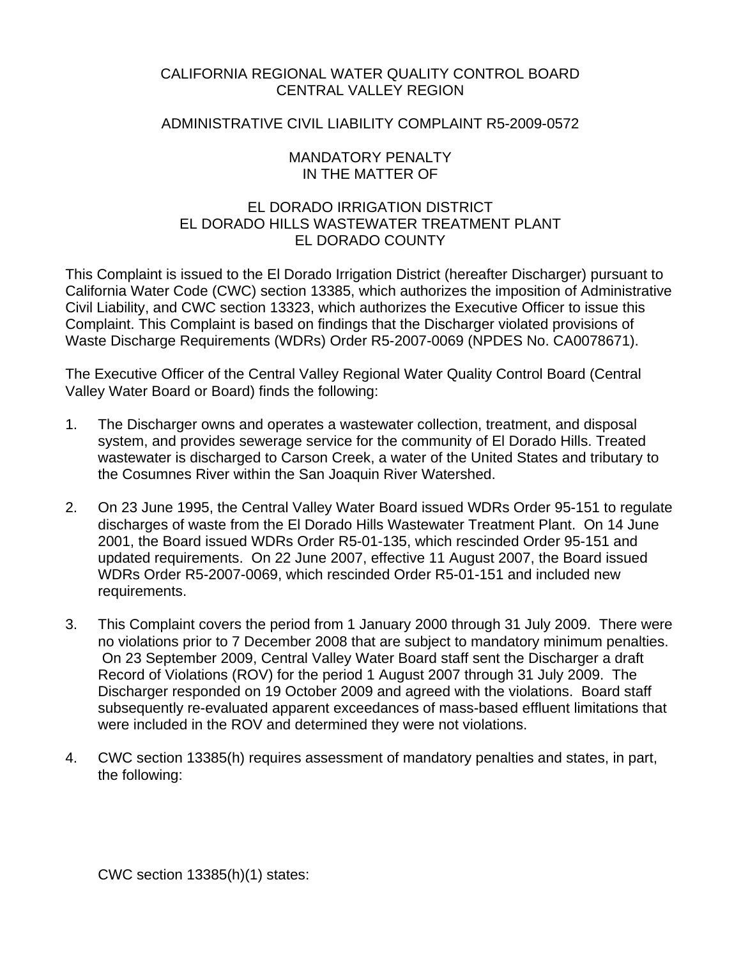## CALIFORNIA REGIONAL WATER QUALITY CONTROL BOARD CENTRAL VALLEY REGION

## ADMINISTRATIVE CIVIL LIABILITY COMPLAINT R5-2009-0572

## MANDATORY PENALTY IN THE MATTER OF

## EL DORADO IRRIGATION DISTRICT EL DORADO HILLS WASTEWATER TREATMENT PLANT EL DORADO COUNTY

This Complaint is issued to the El Dorado Irrigation District (hereafter Discharger) pursuant to California Water Code (CWC) section 13385, which authorizes the imposition of Administrative Civil Liability, and CWC section 13323, which authorizes the Executive Officer to issue this Complaint. This Complaint is based on findings that the Discharger violated provisions of Waste Discharge Requirements (WDRs) Order R5-2007-0069 (NPDES No. CA0078671).

The Executive Officer of the Central Valley Regional Water Quality Control Board (Central Valley Water Board or Board) finds the following:

- 1. The Discharger owns and operates a wastewater collection, treatment, and disposal system, and provides sewerage service for the community of El Dorado Hills. Treated wastewater is discharged to Carson Creek, a water of the United States and tributary to the Cosumnes River within the San Joaquin River Watershed.
- 2. On 23 June 1995, the Central Valley Water Board issued WDRs Order 95-151 to regulate discharges of waste from the El Dorado Hills Wastewater Treatment Plant. On 14 June 2001, the Board issued WDRs Order R5-01-135, which rescinded Order 95-151 and updated requirements. On 22 June 2007, effective 11 August 2007, the Board issued WDRs Order R5-2007-0069, which rescinded Order R5-01-151 and included new requirements.
- 3. This Complaint covers the period from 1 January 2000 through 31 July 2009. There were no violations prior to 7 December 2008 that are subject to mandatory minimum penalties. On 23 September 2009, Central Valley Water Board staff sent the Discharger a draft Record of Violations (ROV) for the period 1 August 2007 through 31 July 2009. The Discharger responded on 19 October 2009 and agreed with the violations. Board staff subsequently re-evaluated apparent exceedances of mass-based effluent limitations that were included in the ROV and determined they were not violations.
- 4. CWC section 13385(h) requires assessment of mandatory penalties and states, in part, the following: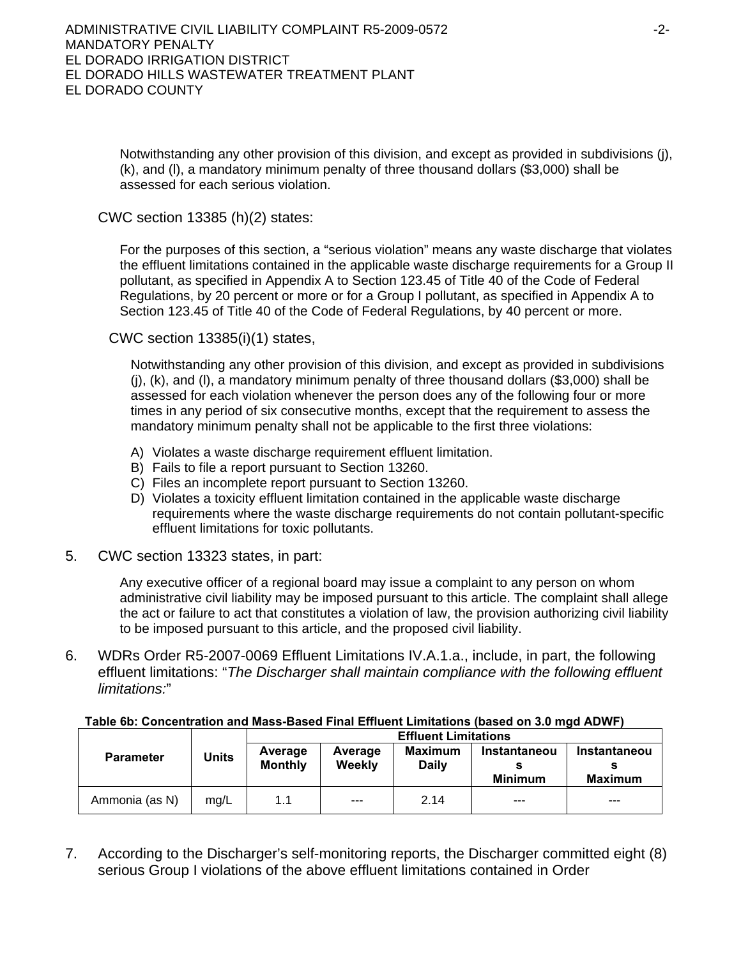Notwithstanding any other provision of this division, and except as provided in subdivisions (j), (k), and (l), a mandatory minimum penalty of three thousand dollars (\$3,000) shall be assessed for each serious violation.

## CWC section 13385 (h)(2) states:

For the purposes of this section, a "serious violation" means any waste discharge that violates the effluent limitations contained in the applicable waste discharge requirements for a Group II pollutant, as specified in Appendix A to Section 123.45 of Title 40 of the Code of Federal Regulations, by 20 percent or more or for a Group I pollutant, as specified in Appendix A to Section 123.45 of Title 40 of the Code of Federal Regulations, by 40 percent or more.

### CWC section 13385(i)(1) states,

Notwithstanding any other provision of this division, and except as provided in subdivisions (j), (k), and (l), a mandatory minimum penalty of three thousand dollars (\$3,000) shall be assessed for each violation whenever the person does any of the following four or more times in any period of six consecutive months, except that the requirement to assess the mandatory minimum penalty shall not be applicable to the first three violations:

- A) Violates a waste discharge requirement effluent limitation.
- B) Fails to file a report pursuant to Section 13260.
- C) Files an incomplete report pursuant to Section 13260.
- D) Violates a toxicity effluent limitation contained in the applicable waste discharge requirements where the waste discharge requirements do not contain pollutant-specific effluent limitations for toxic pollutants.
- 5. CWC section 13323 states, in part:

Any executive officer of a regional board may issue a complaint to any person on whom administrative civil liability may be imposed pursuant to this article. The complaint shall allege the act or failure to act that constitutes a violation of law, the provision authorizing civil liability to be imposed pursuant to this article, and the proposed civil liability.

6. WDRs Order R5-2007-0069 Effluent Limitations IV.A.1.a., include, in part, the following effluent limitations: "*The Discharger shall maintain compliance with the following effluent limitations:*"

### **Table 6b: Concentration and Mass-Based Final Effluent Limitations (based on 3.0 mgd ADWF)**

|                | Units | <b>Effluent Limitations</b> |                   |                |                |                |  |
|----------------|-------|-----------------------------|-------------------|----------------|----------------|----------------|--|
| Parameter      |       | Average                     | Average<br>Weekly | <b>Maximum</b> | Instantaneou   | Instantaneou   |  |
|                |       | <b>Monthly</b>              |                   | <b>Daily</b>   |                |                |  |
|                |       |                             |                   |                | <b>Minimum</b> | <b>Maximum</b> |  |
| Ammonia (as N) | mg/L  | 1.1                         | $- - -$           | 2.14           | $---$          | $- - -$        |  |

7. According to the Discharger's self-monitoring reports, the Discharger committed eight (8) serious Group I violations of the above effluent limitations contained in Order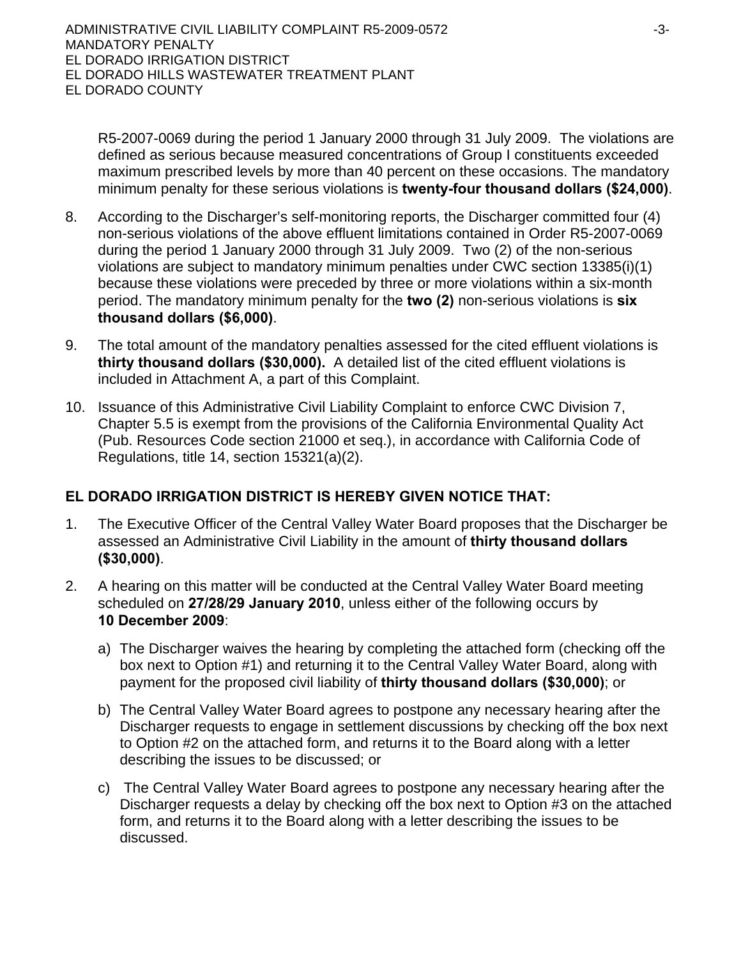R5-2007-0069 during the period 1 January 2000 through 31 July 2009. The violations are defined as serious because measured concentrations of Group I constituents exceeded maximum prescribed levels by more than 40 percent on these occasions. The mandatory minimum penalty for these serious violations is **twenty-four thousand dollars (\$24,000)**.

- 8. According to the Discharger's self-monitoring reports, the Discharger committed four (4) non-serious violations of the above effluent limitations contained in Order R5-2007-0069 during the period 1 January 2000 through 31 July 2009. Two (2) of the non-serious violations are subject to mandatory minimum penalties under CWC section 13385(i)(1) because these violations were preceded by three or more violations within a six-month period. The mandatory minimum penalty for the **two (2)** non-serious violations is **six thousand dollars (\$6,000)**.
- 9. The total amount of the mandatory penalties assessed for the cited effluent violations is **thirty thousand dollars (\$30,000).** A detailed list of the cited effluent violations is included in Attachment A, a part of this Complaint.
- 10. Issuance of this Administrative Civil Liability Complaint to enforce CWC Division 7, Chapter 5.5 is exempt from the provisions of the California Environmental Quality Act (Pub. Resources Code section 21000 et seq.), in accordance with California Code of Regulations, title 14, section 15321(a)(2).

# **EL DORADO IRRIGATION DISTRICT IS HEREBY GIVEN NOTICE THAT:**

- 1. The Executive Officer of the Central Valley Water Board proposes that the Discharger be assessed an Administrative Civil Liability in the amount of **thirty thousand dollars (\$30,000)**.
- 2. A hearing on this matter will be conducted at the Central Valley Water Board meeting scheduled on **27/28/29 January 2010**, unless either of the following occurs by **10 December 2009**:
	- a) The Discharger waives the hearing by completing the attached form (checking off the box next to Option #1) and returning it to the Central Valley Water Board, along with payment for the proposed civil liability of **thirty thousand dollars (\$30,000)**; or
	- b) The Central Valley Water Board agrees to postpone any necessary hearing after the Discharger requests to engage in settlement discussions by checking off the box next to Option #2 on the attached form, and returns it to the Board along with a letter describing the issues to be discussed; or
	- c) The Central Valley Water Board agrees to postpone any necessary hearing after the Discharger requests a delay by checking off the box next to Option #3 on the attached form, and returns it to the Board along with a letter describing the issues to be discussed.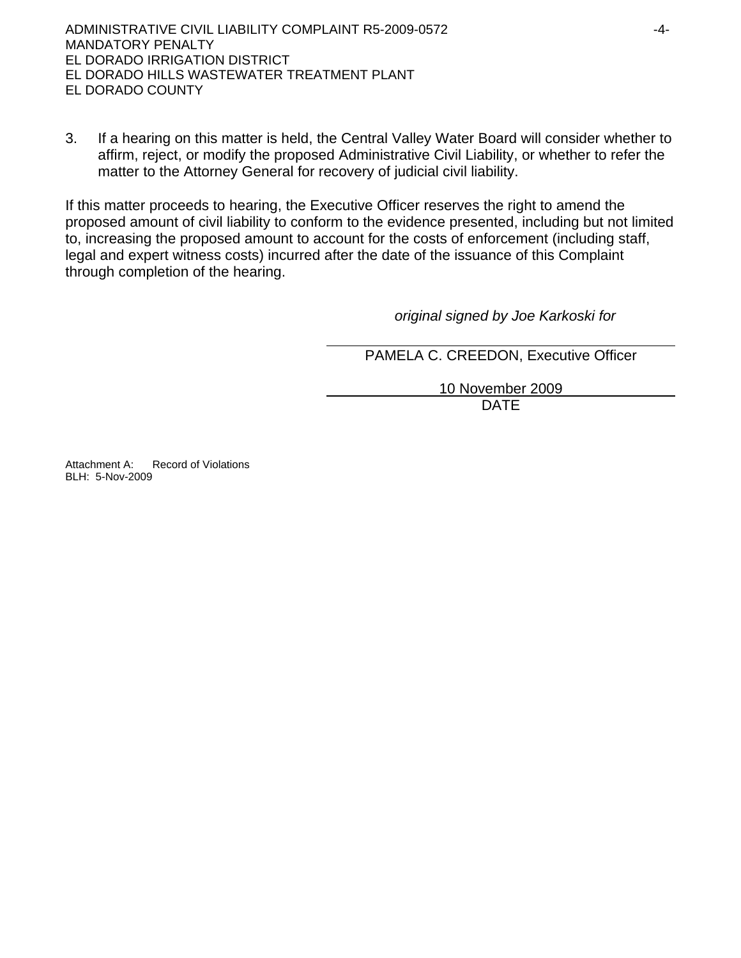3. If a hearing on this matter is held, the Central Valley Water Board will consider whether to affirm, reject, or modify the proposed Administrative Civil Liability, or whether to refer the matter to the Attorney General for recovery of judicial civil liability.

If this matter proceeds to hearing, the Executive Officer reserves the right to amend the proposed amount of civil liability to conform to the evidence presented, including but not limited to, increasing the proposed amount to account for the costs of enforcement (including staff, legal and expert witness costs) incurred after the date of the issuance of this Complaint through completion of the hearing.

*original signed by Joe Karkoski for* 

PAMELA C. CREEDON, Executive Officer

10 November 2009 design and the contract of the contract of the DATE of the contract of the contract of the contract of the contract of the contract of the contract of the contract of the contract of the contract of the contract of the con

Attachment A: Record of Violations BLH: 5-Nov-2009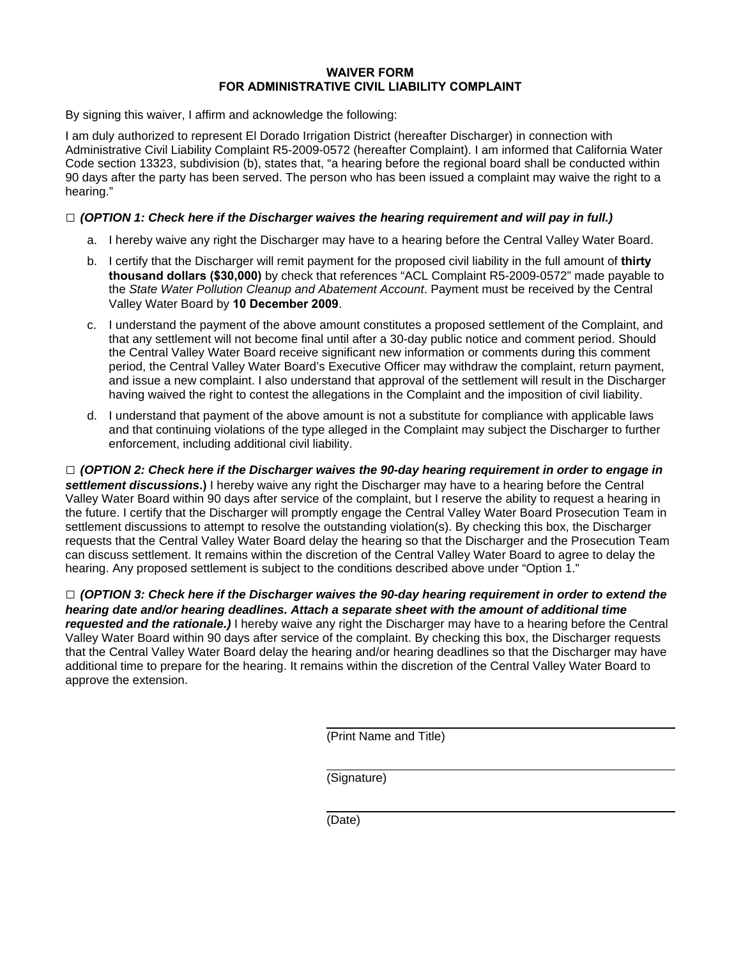### **WAIVER FORM FOR ADMINISTRATIVE CIVIL LIABILITY COMPLAINT**

By signing this waiver, I affirm and acknowledge the following:

I am duly authorized to represent El Dorado Irrigation District (hereafter Discharger) in connection with Administrative Civil Liability Complaint R5-2009-0572 (hereafter Complaint). I am informed that California Water Code section 13323, subdivision (b), states that, "a hearing before the regional board shall be conducted within 90 days after the party has been served. The person who has been issued a complaint may waive the right to a hearing."

### **□** *(OPTION 1: Check here if the Discharger waives the hearing requirement and will pay in full.)*

- a. I hereby waive any right the Discharger may have to a hearing before the Central Valley Water Board.
- b. I certify that the Discharger will remit payment for the proposed civil liability in the full amount of **thirty thousand dollars (\$30,000)** by check that references "ACL Complaint R5-2009-0572" made payable to the *State Water Pollution Cleanup and Abatement Account*. Payment must be received by the Central Valley Water Board by **10 December 2009**.
- c. I understand the payment of the above amount constitutes a proposed settlement of the Complaint, and that any settlement will not become final until after a 30-day public notice and comment period. Should the Central Valley Water Board receive significant new information or comments during this comment period, the Central Valley Water Board's Executive Officer may withdraw the complaint, return payment, and issue a new complaint. I also understand that approval of the settlement will result in the Discharger having waived the right to contest the allegations in the Complaint and the imposition of civil liability.
- d. I understand that payment of the above amount is not a substitute for compliance with applicable laws and that continuing violations of the type alleged in the Complaint may subject the Discharger to further enforcement, including additional civil liability.

**□** *(OPTION 2: Check here if the Discharger waives the 90-day hearing requirement in order to engage in settlement discussions***.)** I hereby waive any right the Discharger may have to a hearing before the Central Valley Water Board within 90 days after service of the complaint, but I reserve the ability to request a hearing in the future. I certify that the Discharger will promptly engage the Central Valley Water Board Prosecution Team in settlement discussions to attempt to resolve the outstanding violation(s). By checking this box, the Discharger requests that the Central Valley Water Board delay the hearing so that the Discharger and the Prosecution Team can discuss settlement. It remains within the discretion of the Central Valley Water Board to agree to delay the hearing. Any proposed settlement is subject to the conditions described above under "Option 1."

**□** *(OPTION 3: Check here if the Discharger waives the 90-day hearing requirement in order to extend the hearing date and/or hearing deadlines. Attach a separate sheet with the amount of additional time requested and the rationale.)* I hereby waive any right the Discharger may have to a hearing before the Central Valley Water Board within 90 days after service of the complaint. By checking this box, the Discharger requests that the Central Valley Water Board delay the hearing and/or hearing deadlines so that the Discharger may have additional time to prepare for the hearing. It remains within the discretion of the Central Valley Water Board to approve the extension.

(Print Name and Title)

(Signature)

(Date)